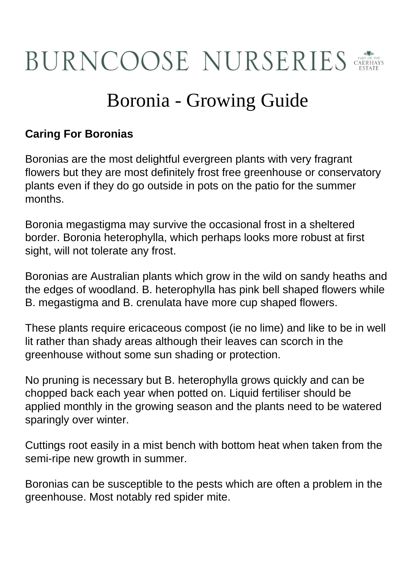## **BURNCOOSE NURSERIES**

## Boronia - Growing Guide

## **Caring For Boronias**

Boronias are the most delightful evergreen plants with very fragrant flowers but they are most definitely frost free greenhouse or conservatory plants even if they do go outside in pots on the patio for the summer months.

Boronia megastigma may survive the occasional frost in a sheltered border. Boronia heterophylla, which perhaps looks more robust at first sight, will not tolerate any frost.

Boronias are Australian plants which grow in the wild on sandy heaths and the edges of woodland. B. heterophylla has pink bell shaped flowers while B. megastigma and B. crenulata have more cup shaped flowers.

These plants require ericaceous compost (ie no lime) and like to be in well lit rather than shady areas although their leaves can scorch in the greenhouse without some sun shading or protection.

No pruning is necessary but B. heterophylla grows quickly and can be chopped back each year when potted on. Liquid fertiliser should be applied monthly in the growing season and the plants need to be watered sparingly over winter.

Cuttings root easily in a mist bench with bottom heat when taken from the semi-ripe new growth in summer.

Boronias can be susceptible to the pests which are often a problem in the greenhouse. Most notably red spider mite.